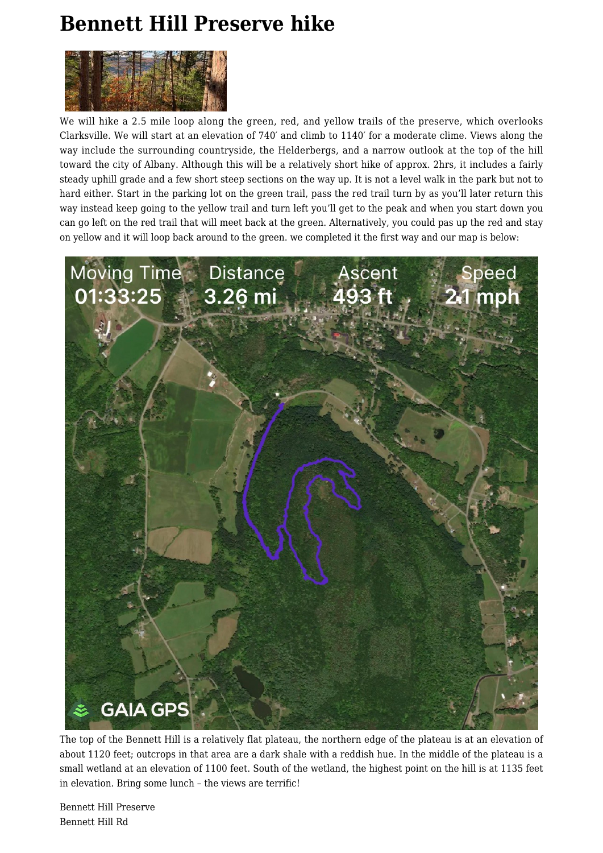## **[Bennett Hill Preserve hike](https://www.busyhiker.com/bennett-hill-preserve-hike/)**



We will hike a 2.5 mile loop along the green, red, and yellow trails of the preserve, which overlooks Clarksville. We will start at an elevation of 740′ and climb to 1140′ for a moderate clime. Views along the way include the surrounding countryside, the Helderbergs, and a narrow outlook at the top of the hill toward the city of Albany. Although this will be a relatively short hike of approx. 2hrs, it includes a fairly steady uphill grade and a few short steep sections on the way up. It is not a level walk in the park but not to hard either. Start in the parking lot on the green trail, pass the red trail turn by as you'll later return this way instead keep going to the yellow trail and turn left you'll get to the peak and when you start down you can go left on the red trail that will meet back at the green. Alternatively, you could pas up the red and stay on yellow and it will loop back around to the green. we completed it the first way and our map is below:



The top of the Bennett Hill is a relatively flat plateau, the northern edge of the plateau is at an elevation of about 1120 feet; outcrops in that area are a dark shale with a reddish hue. In the middle of the plateau is a small wetland at an elevation of 1100 feet. South of the wetland, the highest point on the hill is at 1135 feet in elevation. Bring some lunch – the views are terrific!

Bennett Hill Preserve Bennett Hill Rd